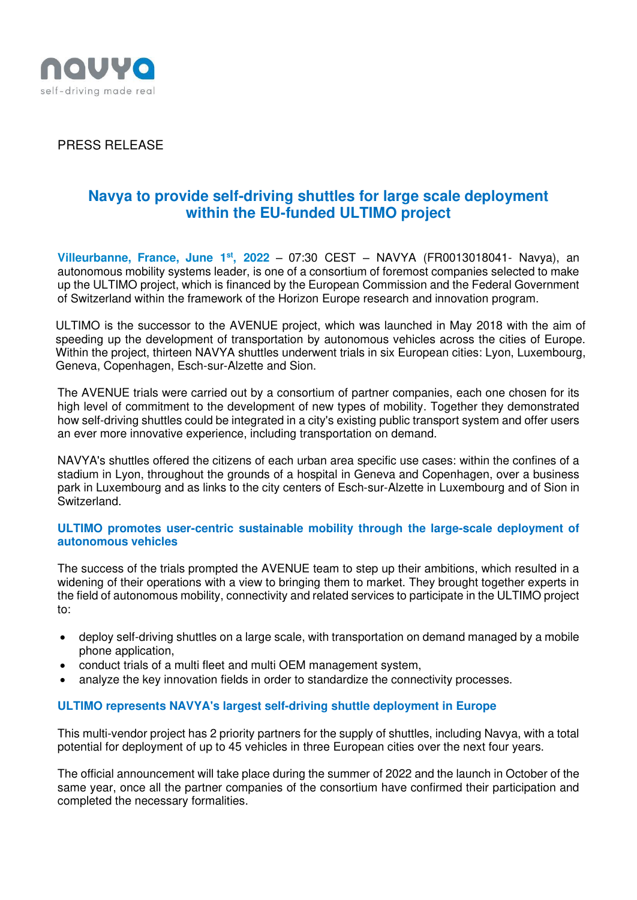

PRESS RELEASE

# **Navya to provide self-driving shuttles for large scale deployment within the EU-funded ULTIMO project**

**Villeurbanne, France, June 1st , 2022** – 07:30 CEST – NAVYA (FR0013018041- Navya), an autonomous mobility systems leader, is one of a consortium of foremost companies selected to make up the ULTIMO project, which is financed by the European Commission and the Federal Government of Switzerland within the framework of the Horizon Europe research and innovation program.

ULTIMO is the successor to the AVENUE project, which was launched in May 2018 with the aim of speeding up the development of transportation by autonomous vehicles across the cities of Europe. Within the project, thirteen NAVYA shuttles underwent trials in six European cities: Lyon, Luxembourg, Geneva, Copenhagen, Esch-sur-Alzette and Sion.

The AVENUE trials were carried out by a consortium of partner companies, each one chosen for its high level of commitment to the development of new types of mobility. Together they demonstrated how self-driving shuttles could be integrated in a city's existing public transport system and offer users an ever more innovative experience, including transportation on demand.

NAVYA's shuttles offered the citizens of each urban area specific use cases: within the confines of a stadium in Lyon, throughout the grounds of a hospital in Geneva and Copenhagen, over a business park in Luxembourg and as links to the city centers of Esch-sur-Alzette in Luxembourg and of Sion in Switzerland.

## **ULTIMO promotes user-centric sustainable mobility through the large-scale deployment of autonomous vehicles**

The success of the trials prompted the AVENUE team to step up their ambitions, which resulted in a widening of their operations with a view to bringing them to market. They brought together experts in the field of autonomous mobility, connectivity and related services to participate in the ULTIMO project to:

- deploy self-driving shuttles on a large scale, with transportation on demand managed by a mobile phone application,
- conduct trials of a multi fleet and multi OEM management system,
- analyze the key innovation fields in order to standardize the connectivity processes.

## **ULTIMO represents NAVYA's largest self-driving shuttle deployment in Europe**

This multi-vendor project has 2 priority partners for the supply of shuttles, including Navya, with a total potential for deployment of up to 45 vehicles in three European cities over the next four years.

The official announcement will take place during the summer of 2022 and the launch in October of the same year, once all the partner companies of the consortium have confirmed their participation and completed the necessary formalities.